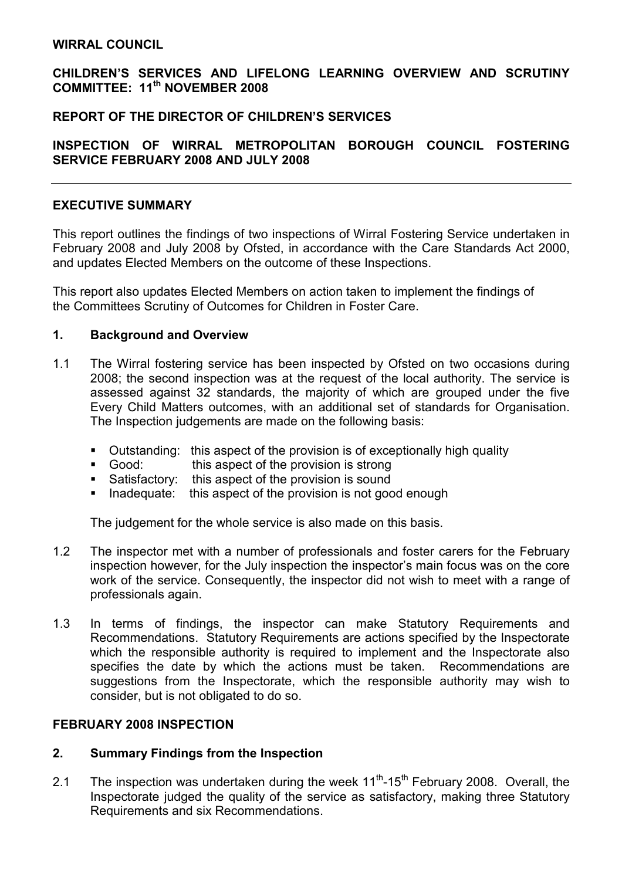#### WIRRAL COUNCIL

## CHILDREN'S SERVICES AND LIFELONG LEARNING OVERVIEW AND SCRUTINY COMMITTEE: 11<sup>th</sup> NOVEMBER 2008

## REPORT OF THE DIRECTOR OF CHILDREN'S SERVICES

## INSPECTION OF WIRRAL METROPOLITAN BOROUGH COUNCIL FOSTERING SERVICE FEBRUARY 2008 AND JULY 2008

### EXECUTIVE SUMMARY

This report outlines the findings of two inspections of Wirral Fostering Service undertaken in February 2008 and July 2008 by Ofsted, in accordance with the Care Standards Act 2000, and updates Elected Members on the outcome of these Inspections.

This report also updates Elected Members on action taken to implement the findings of the Committees Scrutiny of Outcomes for Children in Foster Care.

#### 1. Background and Overview

- 1.1 The Wirral fostering service has been inspected by Ofsted on two occasions during 2008; the second inspection was at the request of the local authority. The service is assessed against 32 standards, the majority of which are grouped under the five Every Child Matters outcomes, with an additional set of standards for Organisation. The Inspection judgements are made on the following basis:
	- Outstanding: this aspect of the provision is of exceptionally high quality
	- Good: this aspect of the provision is strong
	- Satisfactory: this aspect of the provision is sound
	- Inadequate: this aspect of the provision is not good enough

The judgement for the whole service is also made on this basis.

- 1.2 The inspector met with a number of professionals and foster carers for the February inspection however, for the July inspection the inspector's main focus was on the core work of the service. Consequently, the inspector did not wish to meet with a range of professionals again.
- 1.3 In terms of findings, the inspector can make Statutory Requirements and Recommendations. Statutory Requirements are actions specified by the Inspectorate which the responsible authority is required to implement and the Inspectorate also specifies the date by which the actions must be taken. Recommendations are suggestions from the Inspectorate, which the responsible authority may wish to consider, but is not obligated to do so.

#### FEBRUARY 2008 INSPECTION

#### 2. Summary Findings from the Inspection

2.1 The inspection was undertaken during the week  $11<sup>th</sup>$ -15<sup>th</sup> February 2008. Overall, the Inspectorate judged the quality of the service as satisfactory, making three Statutory Requirements and six Recommendations.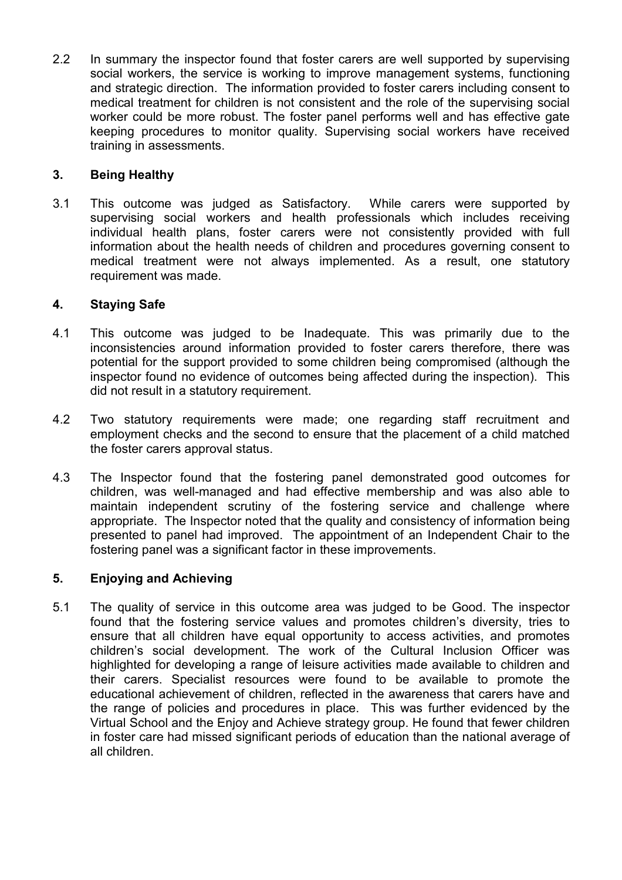2.2 In summary the inspector found that foster carers are well supported by supervising social workers, the service is working to improve management systems, functioning and strategic direction. The information provided to foster carers including consent to medical treatment for children is not consistent and the role of the supervising social worker could be more robust. The foster panel performs well and has effective gate keeping procedures to monitor quality. Supervising social workers have received training in assessments.

# 3. Being Healthy

3.1 This outcome was judged as Satisfactory. While carers were supported by supervising social workers and health professionals which includes receiving individual health plans, foster carers were not consistently provided with full information about the health needs of children and procedures governing consent to medical treatment were not always implemented. As a result, one statutory requirement was made.

### 4. Staying Safe

- 4.1 This outcome was judged to be Inadequate. This was primarily due to the inconsistencies around information provided to foster carers therefore, there was potential for the support provided to some children being compromised (although the inspector found no evidence of outcomes being affected during the inspection). This did not result in a statutory requirement.
- 4.2 Two statutory requirements were made; one regarding staff recruitment and employment checks and the second to ensure that the placement of a child matched the foster carers approval status.
- 4.3 The Inspector found that the fostering panel demonstrated good outcomes for children, was well-managed and had effective membership and was also able to maintain independent scrutiny of the fostering service and challenge where appropriate. The Inspector noted that the quality and consistency of information being presented to panel had improved. The appointment of an Independent Chair to the fostering panel was a significant factor in these improvements.

### 5. Enjoying and Achieving

5.1 The quality of service in this outcome area was judged to be Good. The inspector found that the fostering service values and promotes children's diversity, tries to ensure that all children have equal opportunity to access activities, and promotes children's social development. The work of the Cultural Inclusion Officer was highlighted for developing a range of leisure activities made available to children and their carers. Specialist resources were found to be available to promote the educational achievement of children, reflected in the awareness that carers have and the range of policies and procedures in place. This was further evidenced by the Virtual School and the Enjoy and Achieve strategy group. He found that fewer children in foster care had missed significant periods of education than the national average of all children.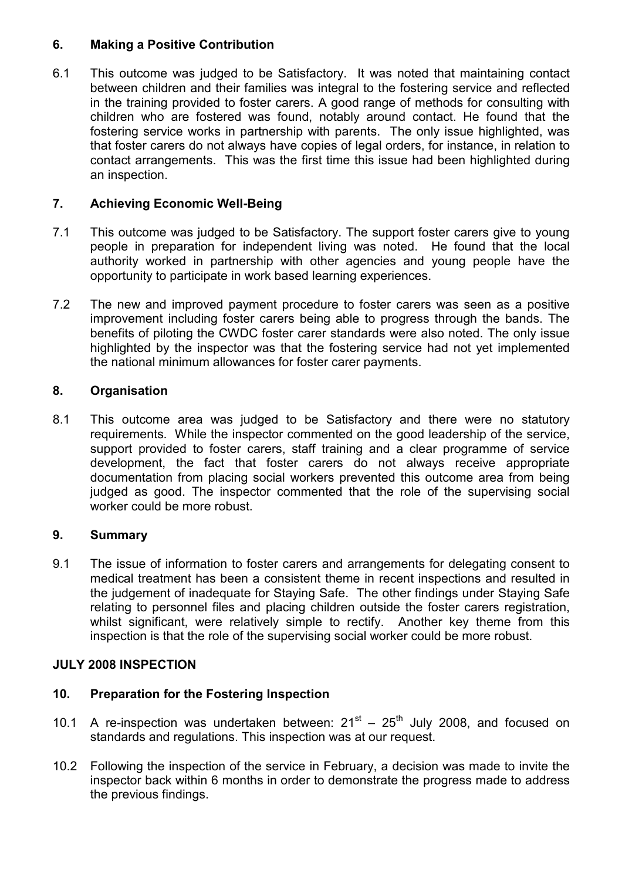# 6. Making a Positive Contribution

6.1 This outcome was judged to be Satisfactory. It was noted that maintaining contact between children and their families was integral to the fostering service and reflected in the training provided to foster carers. A good range of methods for consulting with children who are fostered was found, notably around contact. He found that the fostering service works in partnership with parents. The only issue highlighted, was that foster carers do not always have copies of legal orders, for instance, in relation to contact arrangements. This was the first time this issue had been highlighted during an inspection.

# 7. Achieving Economic Well-Being

- 7.1 This outcome was judged to be Satisfactory. The support foster carers give to young people in preparation for independent living was noted. He found that the local authority worked in partnership with other agencies and young people have the opportunity to participate in work based learning experiences.
- 7.2 The new and improved payment procedure to foster carers was seen as a positive improvement including foster carers being able to progress through the bands. The benefits of piloting the CWDC foster carer standards were also noted. The only issue highlighted by the inspector was that the fostering service had not yet implemented the national minimum allowances for foster carer payments.

# 8. Organisation

8.1 This outcome area was judged to be Satisfactory and there were no statutory requirements. While the inspector commented on the good leadership of the service, support provided to foster carers, staff training and a clear programme of service development, the fact that foster carers do not always receive appropriate documentation from placing social workers prevented this outcome area from being judged as good. The inspector commented that the role of the supervising social worker could be more robust.

### 9. Summary

9.1 The issue of information to foster carers and arrangements for delegating consent to medical treatment has been a consistent theme in recent inspections and resulted in the judgement of inadequate for Staying Safe. The other findings under Staying Safe relating to personnel files and placing children outside the foster carers registration, whilst significant, were relatively simple to rectify. Another key theme from this inspection is that the role of the supervising social worker could be more robust.

### JULY 2008 INSPECTION

### 10. Preparation for the Fostering Inspection

- 10.1 A re-inspection was undertaken between:  $21^{st} 25^{th}$  July 2008, and focused on standards and regulations. This inspection was at our request.
- 10.2 Following the inspection of the service in February, a decision was made to invite the inspector back within 6 months in order to demonstrate the progress made to address the previous findings.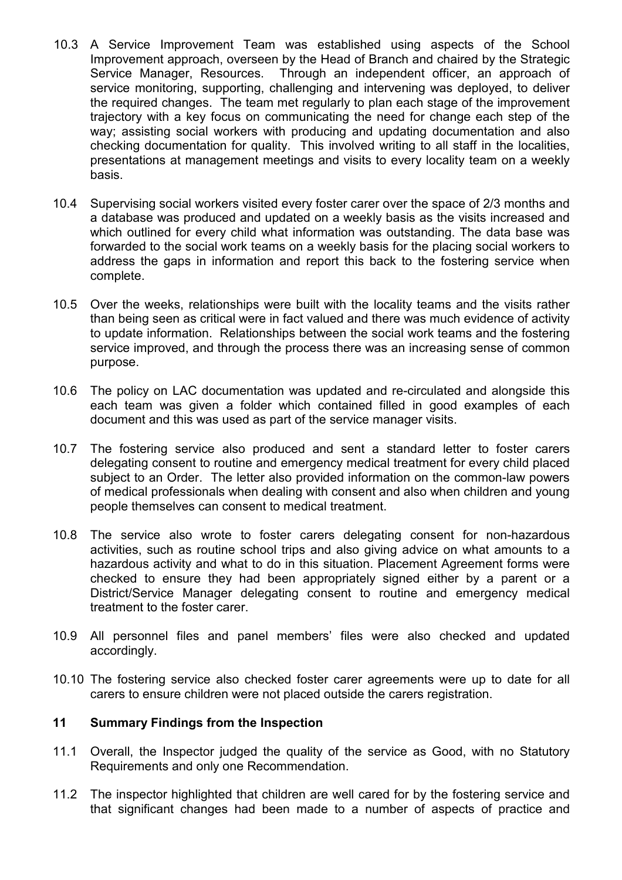- 10.3 A Service Improvement Team was established using aspects of the School Improvement approach, overseen by the Head of Branch and chaired by the Strategic Service Manager, Resources. Through an independent officer, an approach of service monitoring, supporting, challenging and intervening was deployed, to deliver the required changes. The team met regularly to plan each stage of the improvement trajectory with a key focus on communicating the need for change each step of the way; assisting social workers with producing and updating documentation and also checking documentation for quality. This involved writing to all staff in the localities, presentations at management meetings and visits to every locality team on a weekly basis.
- 10.4 Supervising social workers visited every foster carer over the space of 2/3 months and a database was produced and updated on a weekly basis as the visits increased and which outlined for every child what information was outstanding. The data base was forwarded to the social work teams on a weekly basis for the placing social workers to address the gaps in information and report this back to the fostering service when complete.
- 10.5 Over the weeks, relationships were built with the locality teams and the visits rather than being seen as critical were in fact valued and there was much evidence of activity to update information. Relationships between the social work teams and the fostering service improved, and through the process there was an increasing sense of common purpose.
- 10.6 The policy on LAC documentation was updated and re-circulated and alongside this each team was given a folder which contained filled in good examples of each document and this was used as part of the service manager visits.
- 10.7 The fostering service also produced and sent a standard letter to foster carers delegating consent to routine and emergency medical treatment for every child placed subject to an Order. The letter also provided information on the common-law powers of medical professionals when dealing with consent and also when children and young people themselves can consent to medical treatment.
- 10.8 The service also wrote to foster carers delegating consent for non-hazardous activities, such as routine school trips and also giving advice on what amounts to a hazardous activity and what to do in this situation. Placement Agreement forms were checked to ensure they had been appropriately signed either by a parent or a District/Service Manager delegating consent to routine and emergency medical treatment to the foster carer.
- 10.9 All personnel files and panel members' files were also checked and updated accordingly.
- 10.10 The fostering service also checked foster carer agreements were up to date for all carers to ensure children were not placed outside the carers registration.

### 11 Summary Findings from the Inspection

- 11.1 Overall, the Inspector judged the quality of the service as Good, with no Statutory Requirements and only one Recommendation.
- 11.2 The inspector highlighted that children are well cared for by the fostering service and that significant changes had been made to a number of aspects of practice and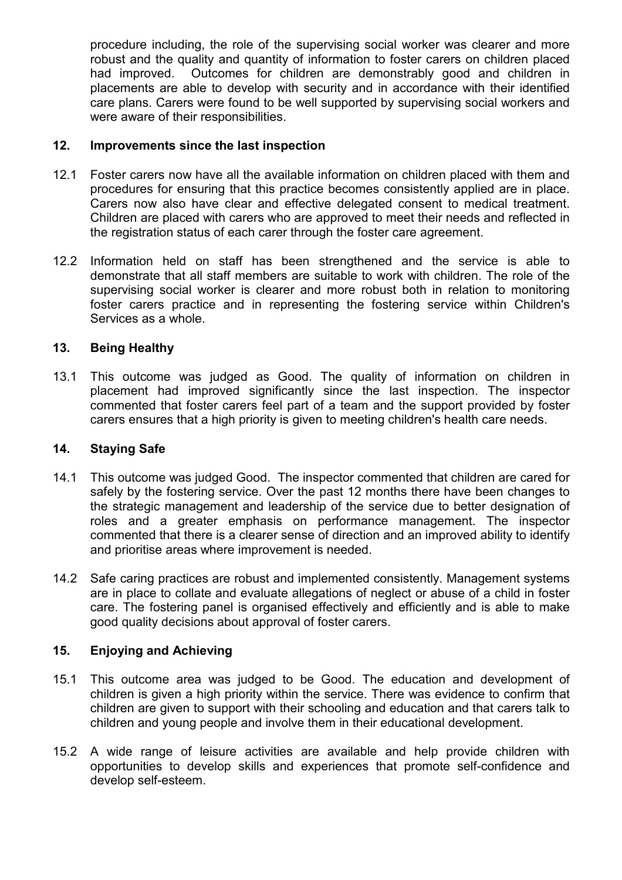procedure including, the role of the supervising social worker was clearer and more robust and the quality and quantity of information to foster carers on children placed had improved. Outcomes for children are demonstrably good and children in placements are able to develop with security and in accordance with their identified care plans. Carers were found to be well supported by supervising social workers and were aware of their responsibilities.

## 12. Improvements since the last inspection

- 12.1 Foster carers now have all the available information on children placed with them and procedures for ensuring that this practice becomes consistently applied are in place. Carers now also have clear and effective delegated consent to medical treatment. Children are placed with carers who are approved to meet their needs and reflected in the registration status of each carer through the foster care agreement.
- 12.2 Information held on staff has been strengthened and the service is able to demonstrate that all staff members are suitable to work with children. The role of the supervising social worker is clearer and more robust both in relation to monitoring foster carers practice and in representing the fostering service within Children's Services as a whole.

# 13. Being Healthy

13.1 This outcome was judged as Good. The quality of information on children in placement had improved significantly since the last inspection. The inspector commented that foster carers feel part of a team and the support provided by foster carers ensures that a high priority is given to meeting children's health care needs.

### 14. Staying Safe

- 14.1 This outcome was judged Good. The inspector commented that children are cared for safely by the fostering service. Over the past 12 months there have been changes to the strategic management and leadership of the service due to better designation of roles and a greater emphasis on performance management. The inspector commented that there is a clearer sense of direction and an improved ability to identify and prioritise areas where improvement is needed.
- 14.2 Safe caring practices are robust and implemented consistently. Management systems are in place to collate and evaluate allegations of neglect or abuse of a child in foster care. The fostering panel is organised effectively and efficiently and is able to make good quality decisions about approval of foster carers.

### 15. Enjoying and Achieving

- 15.1 This outcome area was judged to be Good. The education and development of children is given a high priority within the service. There was evidence to confirm that children are given to support with their schooling and education and that carers talk to children and young people and involve them in their educational development.
- 15.2 A wide range of leisure activities are available and help provide children with opportunities to develop skills and experiences that promote self-confidence and develop self-esteem.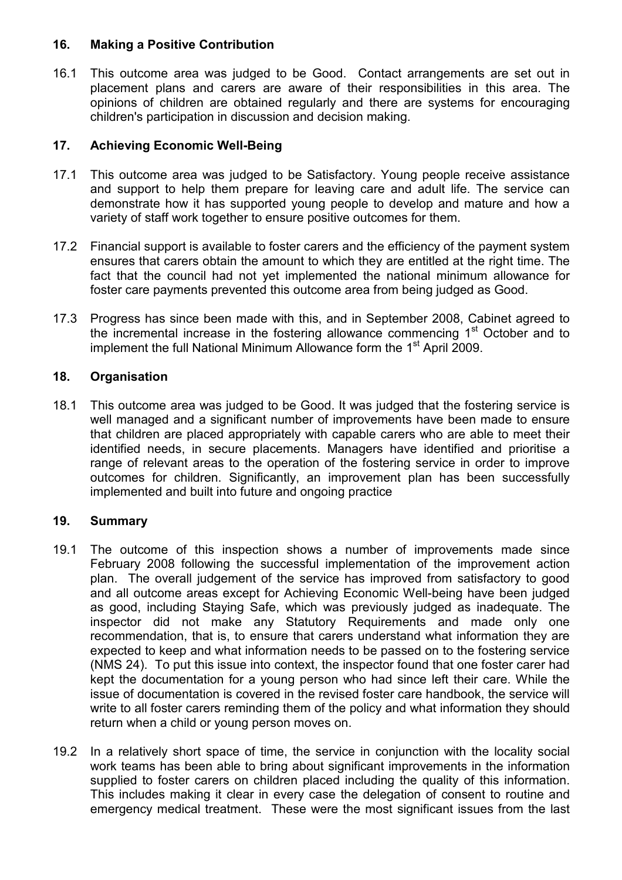## 16. Making a Positive Contribution

16.1 This outcome area was judged to be Good. Contact arrangements are set out in placement plans and carers are aware of their responsibilities in this area. The opinions of children are obtained regularly and there are systems for encouraging children's participation in discussion and decision making.

# 17. Achieving Economic Well-Being

- 17.1 This outcome area was judged to be Satisfactory. Young people receive assistance and support to help them prepare for leaving care and adult life. The service can demonstrate how it has supported young people to develop and mature and how a variety of staff work together to ensure positive outcomes for them.
- 17.2 Financial support is available to foster carers and the efficiency of the payment system ensures that carers obtain the amount to which they are entitled at the right time. The fact that the council had not yet implemented the national minimum allowance for foster care payments prevented this outcome area from being judged as Good.
- 17.3 Progress has since been made with this, and in September 2008, Cabinet agreed to the incremental increase in the fostering allowance commencing 1<sup>st</sup> October and to implement the full National Minimum Allowance form the 1<sup>st</sup> April 2009.

# 18. Organisation

18.1 This outcome area was judged to be Good. It was judged that the fostering service is well managed and a significant number of improvements have been made to ensure that children are placed appropriately with capable carers who are able to meet their identified needs, in secure placements. Managers have identified and prioritise a range of relevant areas to the operation of the fostering service in order to improve outcomes for children. Significantly, an improvement plan has been successfully implemented and built into future and ongoing practice

### 19. Summary

- 19.1 The outcome of this inspection shows a number of improvements made since February 2008 following the successful implementation of the improvement action plan. The overall judgement of the service has improved from satisfactory to good and all outcome areas except for Achieving Economic Well-being have been judged as good, including Staying Safe, which was previously judged as inadequate. The inspector did not make any Statutory Requirements and made only one recommendation, that is, to ensure that carers understand what information they are expected to keep and what information needs to be passed on to the fostering service (NMS 24). To put this issue into context, the inspector found that one foster carer had kept the documentation for a young person who had since left their care. While the issue of documentation is covered in the revised foster care handbook, the service will write to all foster carers reminding them of the policy and what information they should return when a child or young person moves on.
- 19.2 In a relatively short space of time, the service in conjunction with the locality social work teams has been able to bring about significant improvements in the information supplied to foster carers on children placed including the quality of this information. This includes making it clear in every case the delegation of consent to routine and emergency medical treatment. These were the most significant issues from the last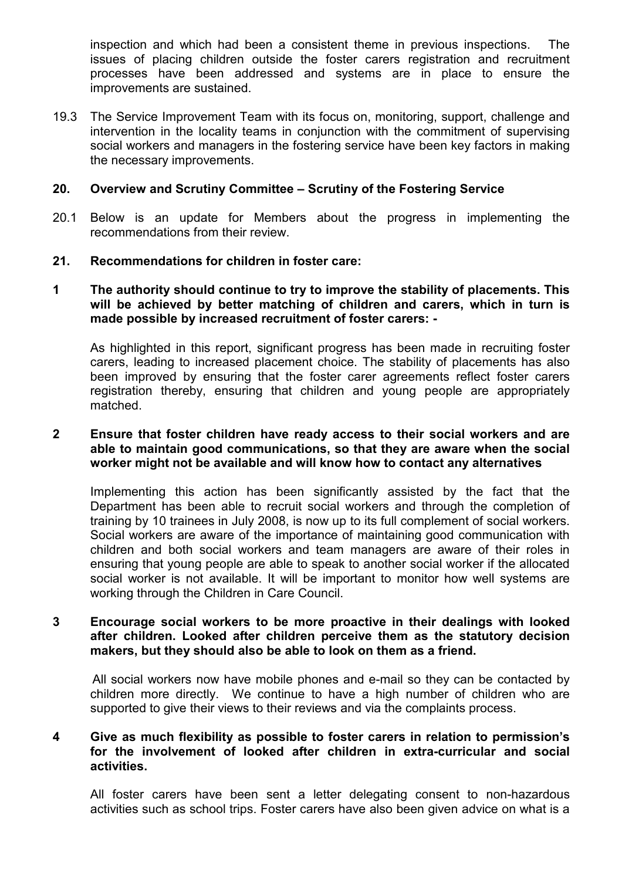inspection and which had been a consistent theme in previous inspections. The issues of placing children outside the foster carers registration and recruitment processes have been addressed and systems are in place to ensure the improvements are sustained.

19.3 The Service Improvement Team with its focus on, monitoring, support, challenge and intervention in the locality teams in conjunction with the commitment of supervising social workers and managers in the fostering service have been key factors in making the necessary improvements.

#### 20. Overview and Scrutiny Committee – Scrutiny of the Fostering Service

20.1 Below is an update for Members about the progress in implementing the recommendations from their review.

#### 21. Recommendations for children in foster care:

#### 1 The authority should continue to try to improve the stability of placements. This will be achieved by better matching of children and carers, which in turn is made possible by increased recruitment of foster carers: -

As highlighted in this report, significant progress has been made in recruiting foster carers, leading to increased placement choice. The stability of placements has also been improved by ensuring that the foster carer agreements reflect foster carers registration thereby, ensuring that children and young people are appropriately matched.

#### 2 Ensure that foster children have ready access to their social workers and are able to maintain good communications, so that they are aware when the social worker might not be available and will know how to contact any alternatives

Implementing this action has been significantly assisted by the fact that the Department has been able to recruit social workers and through the completion of training by 10 trainees in July 2008, is now up to its full complement of social workers. Social workers are aware of the importance of maintaining good communication with children and both social workers and team managers are aware of their roles in ensuring that young people are able to speak to another social worker if the allocated social worker is not available. It will be important to monitor how well systems are working through the Children in Care Council.

#### 3 Encourage social workers to be more proactive in their dealings with looked after children. Looked after children perceive them as the statutory decision makers, but they should also be able to look on them as a friend.

 All social workers now have mobile phones and e-mail so they can be contacted by children more directly. We continue to have a high number of children who are supported to give their views to their reviews and via the complaints process.

#### 4 Give as much flexibility as possible to foster carers in relation to permission's for the involvement of looked after children in extra-curricular and social activities.

All foster carers have been sent a letter delegating consent to non-hazardous activities such as school trips. Foster carers have also been given advice on what is a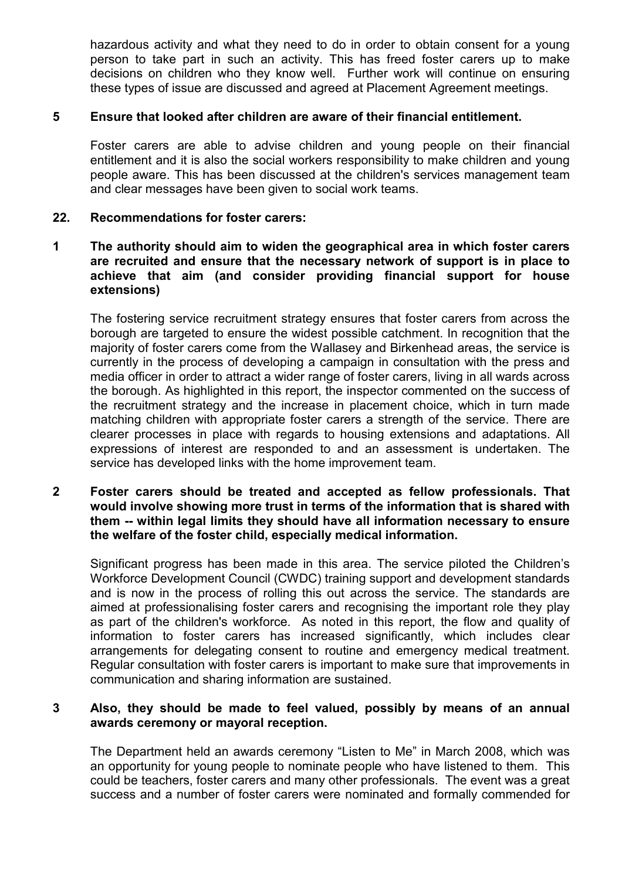hazardous activity and what they need to do in order to obtain consent for a young person to take part in such an activity. This has freed foster carers up to make decisions on children who they know well. Further work will continue on ensuring these types of issue are discussed and agreed at Placement Agreement meetings.

#### 5 Ensure that looked after children are aware of their financial entitlement.

Foster carers are able to advise children and young people on their financial entitlement and it is also the social workers responsibility to make children and young people aware. This has been discussed at the children's services management team and clear messages have been given to social work teams.

#### 22. Recommendations for foster carers:

#### 1 The authority should aim to widen the geographical area in which foster carers are recruited and ensure that the necessary network of support is in place to achieve that aim (and consider providing financial support for house extensions)

The fostering service recruitment strategy ensures that foster carers from across the borough are targeted to ensure the widest possible catchment. In recognition that the majority of foster carers come from the Wallasey and Birkenhead areas, the service is currently in the process of developing a campaign in consultation with the press and media officer in order to attract a wider range of foster carers, living in all wards across the borough. As highlighted in this report, the inspector commented on the success of the recruitment strategy and the increase in placement choice, which in turn made matching children with appropriate foster carers a strength of the service. There are clearer processes in place with regards to housing extensions and adaptations. All expressions of interest are responded to and an assessment is undertaken. The service has developed links with the home improvement team.

#### 2 Foster carers should be treated and accepted as fellow professionals. That would involve showing more trust in terms of the information that is shared with them -- within legal limits they should have all information necessary to ensure the welfare of the foster child, especially medical information.

Significant progress has been made in this area. The service piloted the Children's Workforce Development Council (CWDC) training support and development standards and is now in the process of rolling this out across the service. The standards are aimed at professionalising foster carers and recognising the important role they play as part of the children's workforce. As noted in this report, the flow and quality of information to foster carers has increased significantly, which includes clear arrangements for delegating consent to routine and emergency medical treatment. Regular consultation with foster carers is important to make sure that improvements in communication and sharing information are sustained.

#### 3 Also, they should be made to feel valued, possibly by means of an annual awards ceremony or mayoral reception.

The Department held an awards ceremony "Listen to Me" in March 2008, which was an opportunity for young people to nominate people who have listened to them. This could be teachers, foster carers and many other professionals. The event was a great success and a number of foster carers were nominated and formally commended for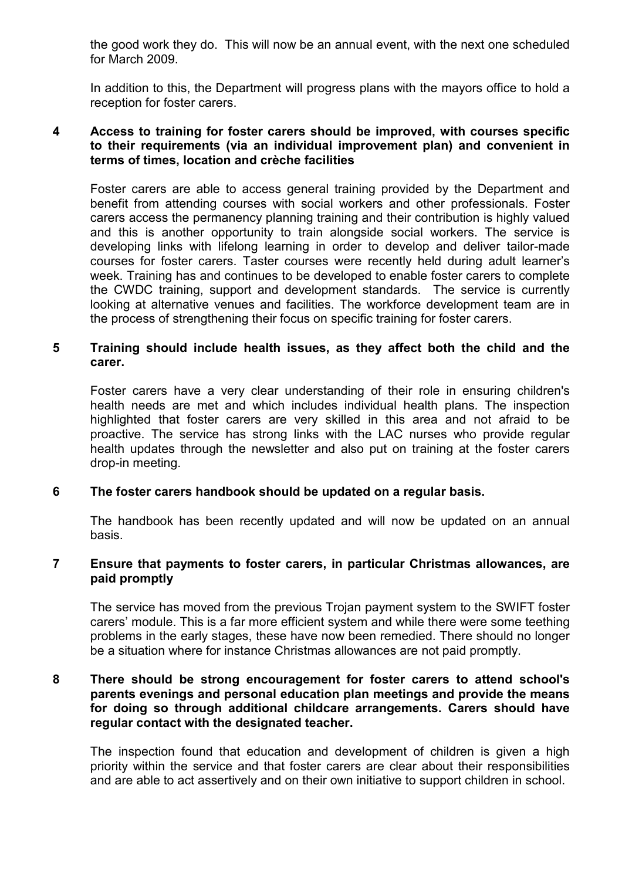the good work they do. This will now be an annual event, with the next one scheduled for March 2009.

In addition to this, the Department will progress plans with the mayors office to hold a reception for foster carers.

#### 4 Access to training for foster carers should be improved, with courses specific to their requirements (via an individual improvement plan) and convenient in terms of times, location and crèche facilities

Foster carers are able to access general training provided by the Department and benefit from attending courses with social workers and other professionals. Foster carers access the permanency planning training and their contribution is highly valued and this is another opportunity to train alongside social workers. The service is developing links with lifelong learning in order to develop and deliver tailor-made courses for foster carers. Taster courses were recently held during adult learner's week. Training has and continues to be developed to enable foster carers to complete the CWDC training, support and development standards. The service is currently looking at alternative venues and facilities. The workforce development team are in the process of strengthening their focus on specific training for foster carers.

### 5 Training should include health issues, as they affect both the child and the carer.

Foster carers have a very clear understanding of their role in ensuring children's health needs are met and which includes individual health plans. The inspection highlighted that foster carers are very skilled in this area and not afraid to be proactive. The service has strong links with the LAC nurses who provide regular health updates through the newsletter and also put on training at the foster carers drop-in meeting.

### 6 The foster carers handbook should be updated on a regular basis.

The handbook has been recently updated and will now be updated on an annual basis.

### 7 Ensure that payments to foster carers, in particular Christmas allowances, are paid promptly

The service has moved from the previous Trojan payment system to the SWIFT foster carers' module. This is a far more efficient system and while there were some teething problems in the early stages, these have now been remedied. There should no longer be a situation where for instance Christmas allowances are not paid promptly.

#### 8 There should be strong encouragement for foster carers to attend school's parents evenings and personal education plan meetings and provide the means for doing so through additional childcare arrangements. Carers should have regular contact with the designated teacher.

The inspection found that education and development of children is given a high priority within the service and that foster carers are clear about their responsibilities and are able to act assertively and on their own initiative to support children in school.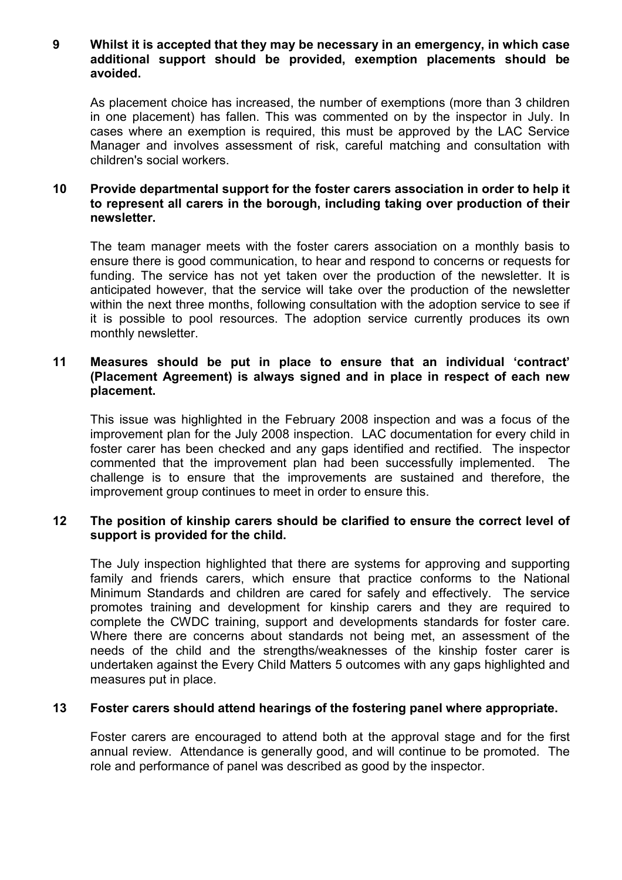#### 9 Whilst it is accepted that they may be necessary in an emergency, in which case additional support should be provided, exemption placements should be avoided.

As placement choice has increased, the number of exemptions (more than 3 children in one placement) has fallen. This was commented on by the inspector in July. In cases where an exemption is required, this must be approved by the LAC Service Manager and involves assessment of risk, careful matching and consultation with children's social workers.

#### 10 Provide departmental support for the foster carers association in order to help it to represent all carers in the borough, including taking over production of their newsletter.

The team manager meets with the foster carers association on a monthly basis to ensure there is good communication, to hear and respond to concerns or requests for funding. The service has not yet taken over the production of the newsletter. It is anticipated however, that the service will take over the production of the newsletter within the next three months, following consultation with the adoption service to see if it is possible to pool resources. The adoption service currently produces its own monthly newsletter.

### 11 Measures should be put in place to ensure that an individual 'contract' (Placement Agreement) is always signed and in place in respect of each new placement.

This issue was highlighted in the February 2008 inspection and was a focus of the improvement plan for the July 2008 inspection. LAC documentation for every child in foster carer has been checked and any gaps identified and rectified. The inspector commented that the improvement plan had been successfully implemented. The challenge is to ensure that the improvements are sustained and therefore, the improvement group continues to meet in order to ensure this.

### 12 The position of kinship carers should be clarified to ensure the correct level of support is provided for the child.

The July inspection highlighted that there are systems for approving and supporting family and friends carers, which ensure that practice conforms to the National Minimum Standards and children are cared for safely and effectively. The service promotes training and development for kinship carers and they are required to complete the CWDC training, support and developments standards for foster care. Where there are concerns about standards not being met, an assessment of the needs of the child and the strengths/weaknesses of the kinship foster carer is undertaken against the Every Child Matters 5 outcomes with any gaps highlighted and measures put in place.

### 13 Foster carers should attend hearings of the fostering panel where appropriate.

Foster carers are encouraged to attend both at the approval stage and for the first annual review. Attendance is generally good, and will continue to be promoted. The role and performance of panel was described as good by the inspector.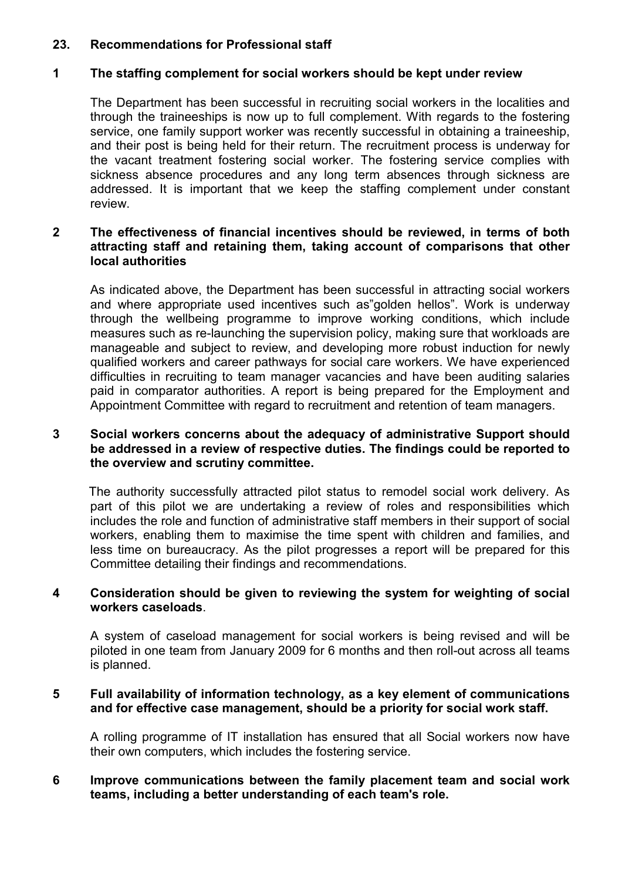### 23. Recommendations for Professional staff

#### 1 The staffing complement for social workers should be kept under review

The Department has been successful in recruiting social workers in the localities and through the traineeships is now up to full complement. With regards to the fostering service, one family support worker was recently successful in obtaining a traineeship, and their post is being held for their return. The recruitment process is underway for the vacant treatment fostering social worker. The fostering service complies with sickness absence procedures and any long term absences through sickness are addressed. It is important that we keep the staffing complement under constant review.

### 2 The effectiveness of financial incentives should be reviewed, in terms of both attracting staff and retaining them, taking account of comparisons that other local authorities

As indicated above, the Department has been successful in attracting social workers and where appropriate used incentives such as"golden hellos". Work is underway through the wellbeing programme to improve working conditions, which include measures such as re-launching the supervision policy, making sure that workloads are manageable and subject to review, and developing more robust induction for newly qualified workers and career pathways for social care workers. We have experienced difficulties in recruiting to team manager vacancies and have been auditing salaries paid in comparator authorities. A report is being prepared for the Employment and Appointment Committee with regard to recruitment and retention of team managers.

#### 3 Social workers concerns about the adequacy of administrative Support should be addressed in a review of respective duties. The findings could be reported to the overview and scrutiny committee.

 The authority successfully attracted pilot status to remodel social work delivery. As part of this pilot we are undertaking a review of roles and responsibilities which includes the role and function of administrative staff members in their support of social workers, enabling them to maximise the time spent with children and families, and less time on bureaucracy. As the pilot progresses a report will be prepared for this Committee detailing their findings and recommendations.

### 4 Consideration should be given to reviewing the system for weighting of social workers caseloads.

A system of caseload management for social workers is being revised and will be piloted in one team from January 2009 for 6 months and then roll-out across all teams is planned.

#### 5 Full availability of information technology, as a key element of communications and for effective case management, should be a priority for social work staff.

A rolling programme of IT installation has ensured that all Social workers now have their own computers, which includes the fostering service.

### 6 Improve communications between the family placement team and social work teams, including a better understanding of each team's role.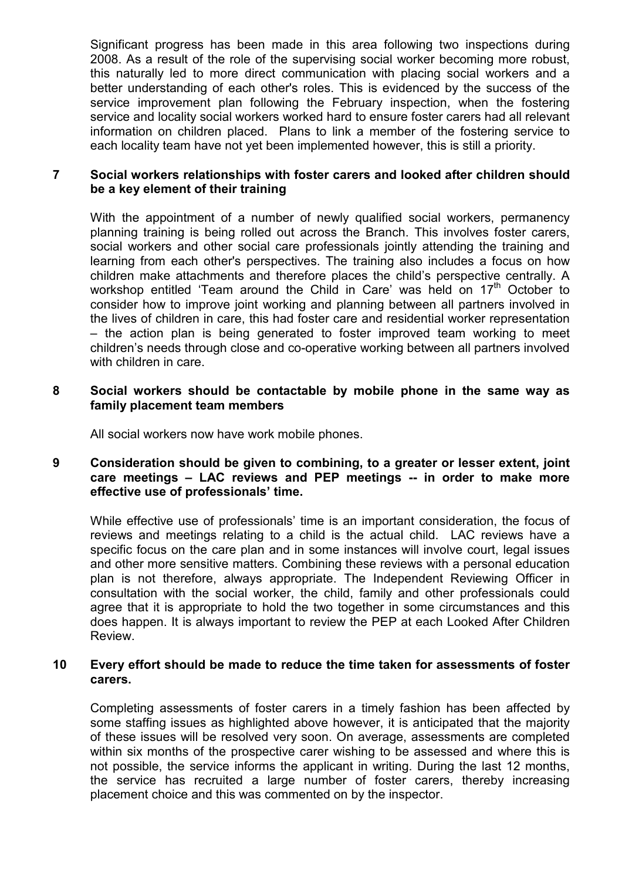Significant progress has been made in this area following two inspections during 2008. As a result of the role of the supervising social worker becoming more robust, this naturally led to more direct communication with placing social workers and a better understanding of each other's roles. This is evidenced by the success of the service improvement plan following the February inspection, when the fostering service and locality social workers worked hard to ensure foster carers had all relevant information on children placed. Plans to link a member of the fostering service to each locality team have not yet been implemented however, this is still a priority.

## 7 Social workers relationships with foster carers and looked after children should be a key element of their training

With the appointment of a number of newly qualified social workers, permanency planning training is being rolled out across the Branch. This involves foster carers, social workers and other social care professionals jointly attending the training and learning from each other's perspectives. The training also includes a focus on how children make attachments and therefore places the child's perspective centrally. A workshop entitled 'Team around the Child in Care' was held on 17<sup>th</sup> October to consider how to improve joint working and planning between all partners involved in the lives of children in care, this had foster care and residential worker representation – the action plan is being generated to foster improved team working to meet children's needs through close and co-operative working between all partners involved with children in care.

#### 8 Social workers should be contactable by mobile phone in the same way as family placement team members

All social workers now have work mobile phones.

### 9 Consideration should be given to combining, to a greater or lesser extent, joint care meetings – LAC reviews and PEP meetings -- in order to make more effective use of professionals' time.

While effective use of professionals' time is an important consideration, the focus of reviews and meetings relating to a child is the actual child. LAC reviews have a specific focus on the care plan and in some instances will involve court, legal issues and other more sensitive matters. Combining these reviews with a personal education plan is not therefore, always appropriate. The Independent Reviewing Officer in consultation with the social worker, the child, family and other professionals could agree that it is appropriate to hold the two together in some circumstances and this does happen. It is always important to review the PEP at each Looked After Children Review.

### 10 Every effort should be made to reduce the time taken for assessments of foster carers.

Completing assessments of foster carers in a timely fashion has been affected by some staffing issues as highlighted above however, it is anticipated that the majority of these issues will be resolved very soon. On average, assessments are completed within six months of the prospective carer wishing to be assessed and where this is not possible, the service informs the applicant in writing. During the last 12 months, the service has recruited a large number of foster carers, thereby increasing placement choice and this was commented on by the inspector.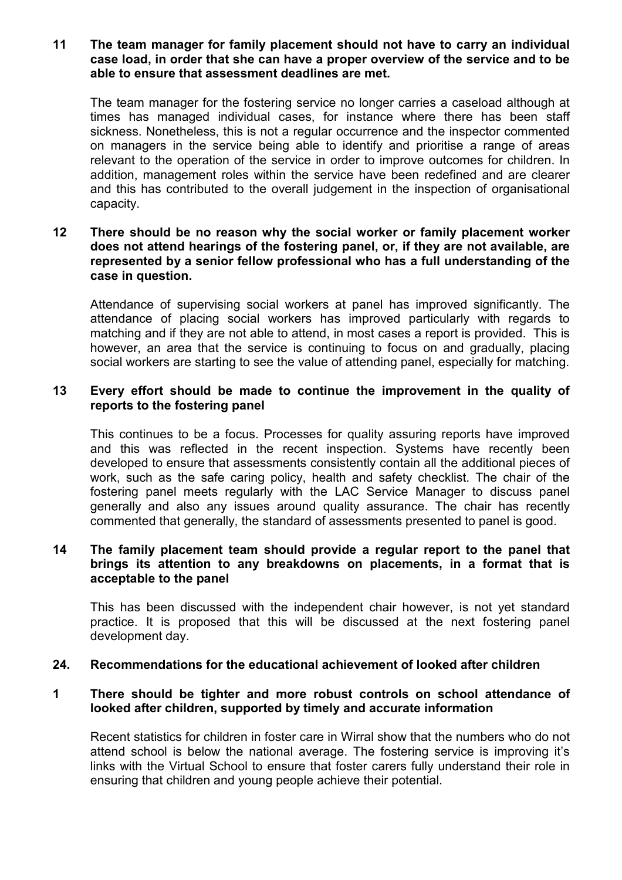11 The team manager for family placement should not have to carry an individual case load, in order that she can have a proper overview of the service and to be able to ensure that assessment deadlines are met.

The team manager for the fostering service no longer carries a caseload although at times has managed individual cases, for instance where there has been staff sickness. Nonetheless, this is not a regular occurrence and the inspector commented on managers in the service being able to identify and prioritise a range of areas relevant to the operation of the service in order to improve outcomes for children. In addition, management roles within the service have been redefined and are clearer and this has contributed to the overall judgement in the inspection of organisational capacity.

### 12 There should be no reason why the social worker or family placement worker does not attend hearings of the fostering panel, or, if they are not available, are represented by a senior fellow professional who has a full understanding of the case in question.

Attendance of supervising social workers at panel has improved significantly. The attendance of placing social workers has improved particularly with regards to matching and if they are not able to attend, in most cases a report is provided. This is however, an area that the service is continuing to focus on and gradually, placing social workers are starting to see the value of attending panel, especially for matching.

### 13 Every effort should be made to continue the improvement in the quality of reports to the fostering panel

This continues to be a focus. Processes for quality assuring reports have improved and this was reflected in the recent inspection. Systems have recently been developed to ensure that assessments consistently contain all the additional pieces of work, such as the safe caring policy, health and safety checklist. The chair of the fostering panel meets regularly with the LAC Service Manager to discuss panel generally and also any issues around quality assurance. The chair has recently commented that generally, the standard of assessments presented to panel is good.

#### 14 The family placement team should provide a regular report to the panel that brings its attention to any breakdowns on placements, in a format that is acceptable to the panel

This has been discussed with the independent chair however, is not yet standard practice. It is proposed that this will be discussed at the next fostering panel development day.

#### 24. Recommendations for the educational achievement of looked after children

#### 1 There should be tighter and more robust controls on school attendance of looked after children, supported by timely and accurate information

Recent statistics for children in foster care in Wirral show that the numbers who do not attend school is below the national average. The fostering service is improving it's links with the Virtual School to ensure that foster carers fully understand their role in ensuring that children and young people achieve their potential.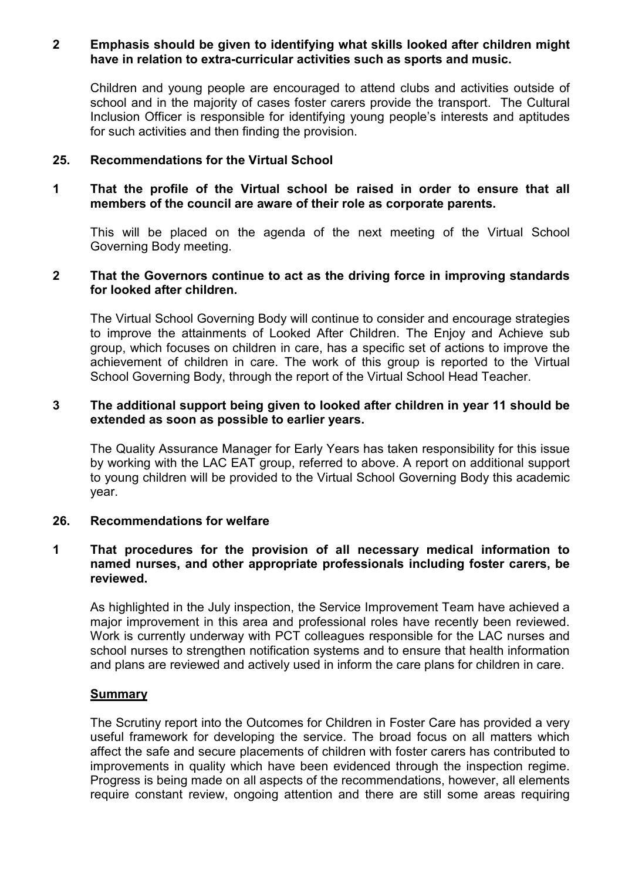#### 2 Emphasis should be given to identifying what skills looked after children might have in relation to extra-curricular activities such as sports and music.

Children and young people are encouraged to attend clubs and activities outside of school and in the majority of cases foster carers provide the transport. The Cultural Inclusion Officer is responsible for identifying young people's interests and aptitudes for such activities and then finding the provision.

### 25. Recommendations for the Virtual School

#### 1 That the profile of the Virtual school be raised in order to ensure that all members of the council are aware of their role as corporate parents.

This will be placed on the agenda of the next meeting of the Virtual School Governing Body meeting.

#### 2 That the Governors continue to act as the driving force in improving standards for looked after children.

The Virtual School Governing Body will continue to consider and encourage strategies to improve the attainments of Looked After Children. The Enjoy and Achieve sub group, which focuses on children in care, has a specific set of actions to improve the achievement of children in care. The work of this group is reported to the Virtual School Governing Body, through the report of the Virtual School Head Teacher.

#### 3 The additional support being given to looked after children in year 11 should be extended as soon as possible to earlier years.

The Quality Assurance Manager for Early Years has taken responsibility for this issue by working with the LAC EAT group, referred to above. A report on additional support to young children will be provided to the Virtual School Governing Body this academic year.

### 26. Recommendations for welfare

#### 1 That procedures for the provision of all necessary medical information to named nurses, and other appropriate professionals including foster carers, be reviewed.

As highlighted in the July inspection, the Service Improvement Team have achieved a major improvement in this area and professional roles have recently been reviewed. Work is currently underway with PCT colleagues responsible for the LAC nurses and school nurses to strengthen notification systems and to ensure that health information and plans are reviewed and actively used in inform the care plans for children in care.

### **Summary**

 The Scrutiny report into the Outcomes for Children in Foster Care has provided a very useful framework for developing the service. The broad focus on all matters which affect the safe and secure placements of children with foster carers has contributed to improvements in quality which have been evidenced through the inspection regime. Progress is being made on all aspects of the recommendations, however, all elements require constant review, ongoing attention and there are still some areas requiring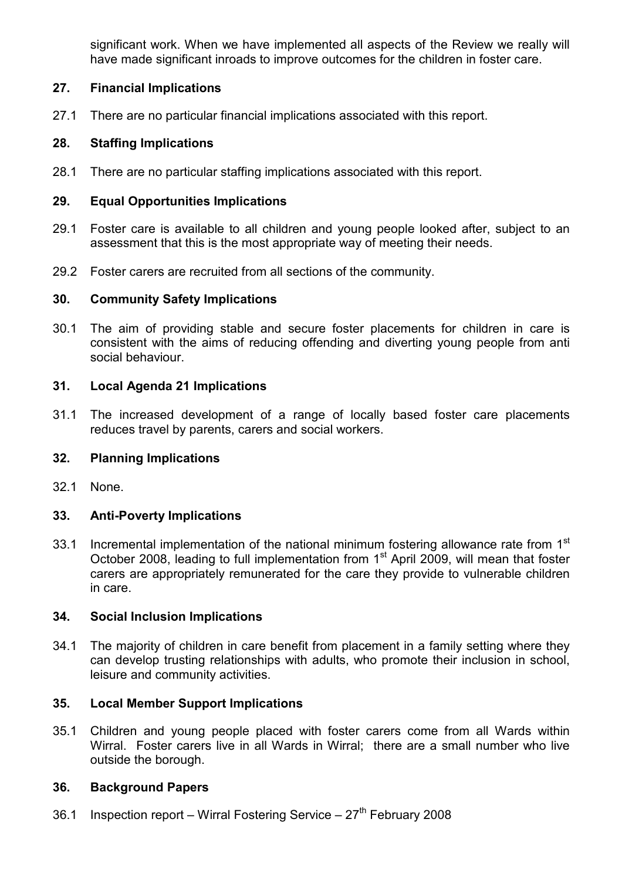significant work. When we have implemented all aspects of the Review we really will have made significant inroads to improve outcomes for the children in foster care.

# 27. Financial Implications

27.1 There are no particular financial implications associated with this report.

# 28. Staffing Implications

28.1 There are no particular staffing implications associated with this report.

# 29. Equal Opportunities Implications

- 29.1 Foster care is available to all children and young people looked after, subject to an assessment that this is the most appropriate way of meeting their needs.
- 29.2 Foster carers are recruited from all sections of the community.

### 30. Community Safety Implications

30.1 The aim of providing stable and secure foster placements for children in care is consistent with the aims of reducing offending and diverting young people from anti social behaviour.

## 31. Local Agenda 21 Implications

31.1 The increased development of a range of locally based foster care placements reduces travel by parents, carers and social workers.

### 32. Planning Implications

32.1 None.

## 33. Anti-Poverty Implications

33.1 Incremental implementation of the national minimum fostering allowance rate from 1<sup>st</sup> October 2008, leading to full implementation from 1<sup>st</sup> April 2009, will mean that foster carers are appropriately remunerated for the care they provide to vulnerable children in care.

### 34. Social Inclusion Implications

34.1 The majority of children in care benefit from placement in a family setting where they can develop trusting relationships with adults, who promote their inclusion in school, leisure and community activities.

### 35. Local Member Support Implications

35.1 Children and young people placed with foster carers come from all Wards within Wirral. Foster carers live in all Wards in Wirral; there are a small number who live outside the borough.

### 36. Background Papers

36.1 Inspection report – Wirral Fostering Service –  $27<sup>th</sup>$  February 2008